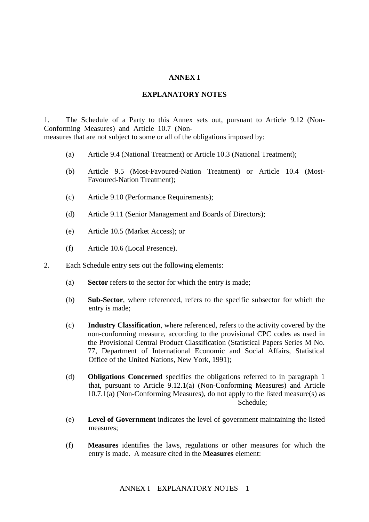## **ANNEX I**

## **EXPLANATORY NOTES**

1. The Schedule of a Party to this Annex sets out, pursuant to Article 9.12 (Non-Conforming Measures) and Article 10.7 (Nonmeasures that are not subject to some or all of the obligations imposed by:

- (a) Article 9.4 (National Treatment) or Article 10.3 (National Treatment);
- (b) Article 9.5 (Most-Favoured-Nation Treatment) or Article 10.4 (Most-Favoured-Nation Treatment);
- (c) Article 9.10 (Performance Requirements);
- (d) Article 9.11 (Senior Management and Boards of Directors);
- (e) Article 10.5 (Market Access); or
- (f) Article 10.6 (Local Presence).
- 2. Each Schedule entry sets out the following elements:
	- (a) **Sector** refers to the sector for which the entry is made;
	- (b) **Sub-Sector**, where referenced, refers to the specific subsector for which the entry is made;
	- (c) **Industry Classification**, where referenced, refers to the activity covered by the non-conforming measure, according to the provisional CPC codes as used in the Provisional Central Product Classification (Statistical Papers Series M No. 77, Department of International Economic and Social Affairs, Statistical Office of the United Nations, New York, 1991);
	- (d) **Obligations Concerned** specifies the obligations referred to in paragraph 1 that, pursuant to Article 9.12.1(a) (Non-Conforming Measures) and Article  $10.7.1(a)$  (Non-Conforming Measures), do not apply to the listed measure(s) as Schedule:
	- (e) **Level of Government** indicates the level of government maintaining the listed measures;
	- (f) **Measures** identifies the laws, regulations or other measures for which the entry is made. A measure cited in the **Measures** element: